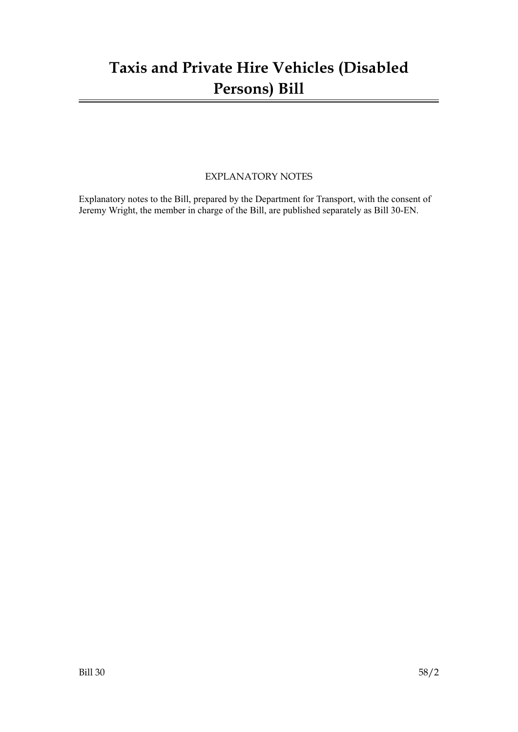# **Taxis and Private Hire Vehicles (Disabled Persons) Bill**

### EXPLANATORY NOTES

Explanatory notes to the Bill, prepared by the Department for Transport, with the consent of Jeremy Wright, the member in charge of the Bill, are published separately as Bill 30-EN.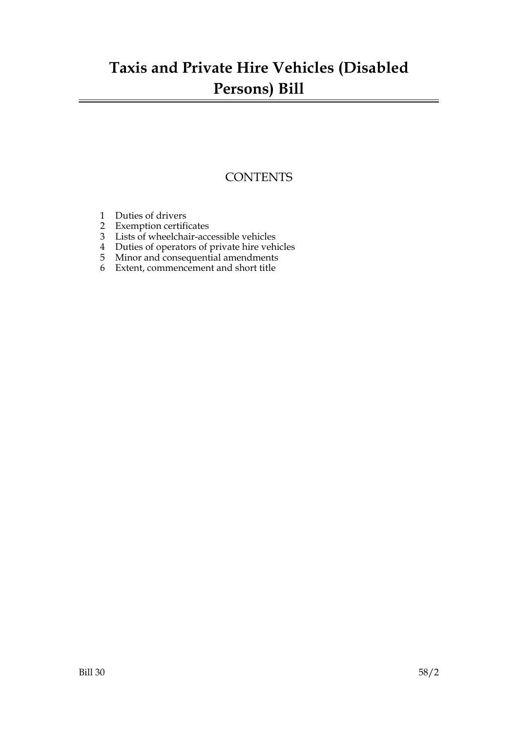# **Taxis and Private Hire Vehicles (Disabled Persons) Bill**

### **CONTENTS**

- 1 Duties of drivers
- 2 Exemption certificates
- 3 Lists of wheelchair-accessible vehicles
- 4 Duties of operators of private hire vehicles
- 5 Minor and consequential amendments
- 6 Extent, commencement and short title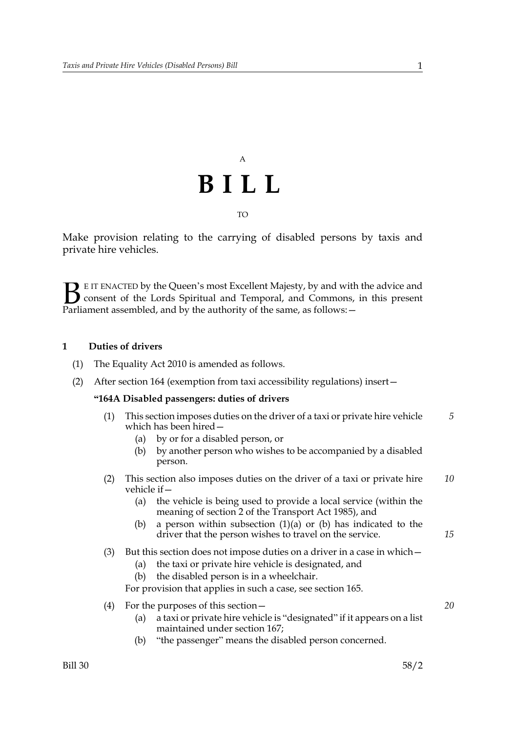# A **BILL** TO

Make provision relating to the carrying of disabled persons by taxis and private hire vehicles.

E IT ENACTED by the Queen's most Excellent Majesty, by and with the advice and consent of the Lords Spiritual and Temporal, and Commons, in this present **B** E IT ENACTED by the Queen's most Excellent Majesty, by and with consent of the Lords Spiritual and Temporal, and Commons, Parliament assembled, and by the authority of the same, as follows:

#### **1 Duties of drivers**

- (1) The Equality Act 2010 is amended as follows.
- (2) After section 164 (exemption from taxi accessibility regulations) insert—

#### **"164A Disabled passengers: duties of drivers**

- (1) This section imposes duties on the driver of a taxi or private hire vehicle which has been hired— *5*
	- (a) by or for a disabled person, or
	- (b) by another person who wishes to be accompanied by a disabled person.
- (2) This section also imposes duties on the driver of a taxi or private hire vehicle if— *10*
	- (a) the vehicle is being used to provide a local service (within the meaning of section 2 of the Transport Act 1985), and
	- (b) a person within subsection  $(1)(a)$  or (b) has indicated to the driver that the person wishes to travel on the service.
- (3) But this section does not impose duties on a driver in a case in which—
	- (a) the taxi or private hire vehicle is designated, and
	- (b) the disabled person is in a wheelchair.

For provision that applies in such a case, see section 165.

- (4) For the purposes of this section—
	- (a) a taxi or private hire vehicle is "designated" if it appears on a list maintained under section 167;
	- (b) "the passenger" means the disabled person concerned.

*15*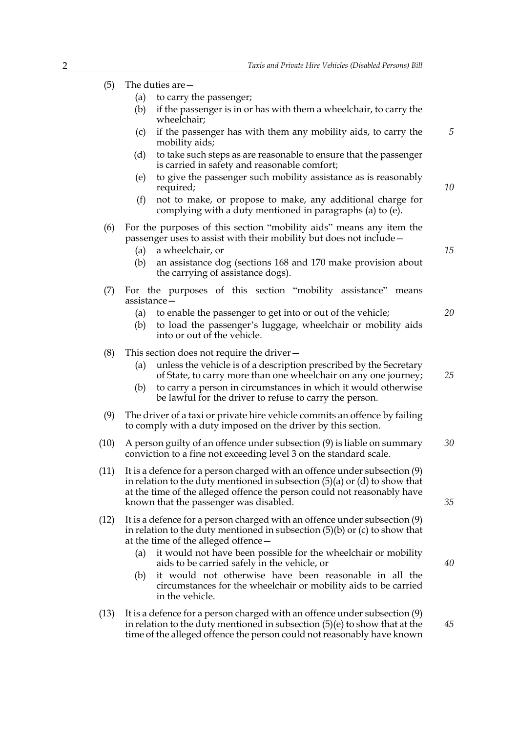- (5) The duties are—
	- (a) to carry the passenger;
	- (b) if the passenger is in or has with them a wheelchair, to carry the wheelchair;
	- (c) if the passenger has with them any mobility aids, to carry the mobility aids;
	- (d) to take such steps as are reasonable to ensure that the passenger is carried in safety and reasonable comfort;
	- (e) to give the passenger such mobility assistance as is reasonably required;
	- (f) not to make, or propose to make, any additional charge for complying with a duty mentioned in paragraphs (a) to (e).
- (6) For the purposes of this section "mobility aids" means any item the passenger uses to assist with their mobility but does not include—
	- (a) a wheelchair, or
	- (b) an assistance dog (sections 168 and 170 make provision about the carrying of assistance dogs).
- (7) For the purposes of this section "mobility assistance" means assistance—
	- (a) to enable the passenger to get into or out of the vehicle;
	- (b) to load the passenger's luggage, wheelchair or mobility aids into or out of the vehicle.
- (8) This section does not require the driver—
	- (a) unless the vehicle is of a description prescribed by the Secretary of State, to carry more than one wheelchair on any one journey;
	- (b) to carry a person in circumstances in which it would otherwise be lawful for the driver to refuse to carry the person.
- (9) The driver of a taxi or private hire vehicle commits an offence by failing to comply with a duty imposed on the driver by this section.
- (10) A person guilty of an offence under subsection (9) is liable on summary conviction to a fine not exceeding level 3 on the standard scale. *30*
- (11) It is a defence for a person charged with an offence under subsection (9) in relation to the duty mentioned in subsection (5)(a) or (d) to show that at the time of the alleged offence the person could not reasonably have known that the passenger was disabled.
- (12) It is a defence for a person charged with an offence under subsection (9) in relation to the duty mentioned in subsection (5)(b) or (c) to show that at the time of the alleged offence—
	- (a) it would not have been possible for the wheelchair or mobility aids to be carried safely in the vehicle, or
	- (b) it would not otherwise have been reasonable in all the circumstances for the wheelchair or mobility aids to be carried in the vehicle.
- (13) It is a defence for a person charged with an offence under subsection (9) in relation to the duty mentioned in subsection (5)(e) to show that at the time of the alleged offence the person could not reasonably have known

*10*

*15*

*5*

*20*

*25*

*35*

*40*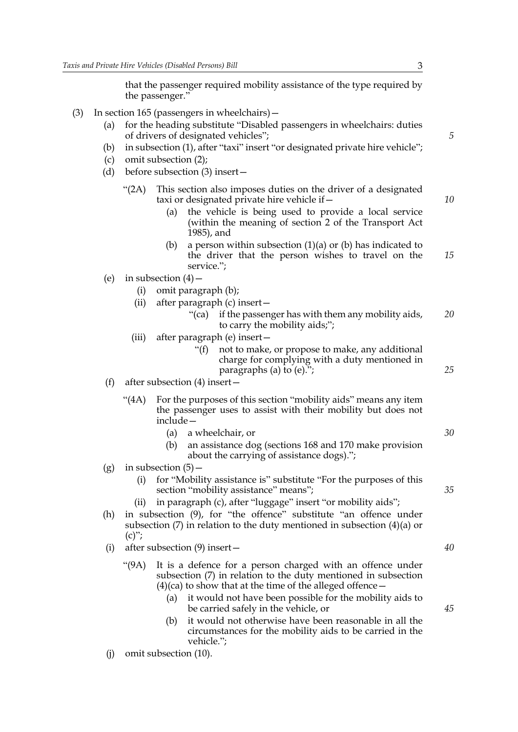that the passenger required mobility assistance of the type required by the passenger."

- (3) In section 165 (passengers in wheelchairs)—
	- (a) for the heading substitute "Disabled passengers in wheelchairs: duties of drivers of designated vehicles";
	- (b) in subsection (1), after "taxi" insert "or designated private hire vehicle";
	- (c) omit subsection (2);
	- (d) before subsection (3) insert—
		- "(2A) This section also imposes duties on the driver of a designated taxi or designated private hire vehicle if—
			- (a) the vehicle is being used to provide a local service (within the meaning of section 2 of the Transport Act 1985), and
			- (b) a person within subsection  $(1)(a)$  or (b) has indicated to the driver that the person wishes to travel on the service."; *15*
	- (e) in subsection  $(4)$ 
		- (i) omit paragraph (b);
		- (ii) after paragraph (c) insert—
			- "(ca) if the passenger has with them any mobility aids, to carry the mobility aids;"; *20*
		- (iii) after paragraph (e) insert—
			- "(f) not to make, or propose to make, any additional charge for complying with a duty mentioned in paragraphs (a) to (e).";
	- (f) after subsection (4) insert—
		- "(4A) For the purposes of this section "mobility aids" means any item the passenger uses to assist with their mobility but does not include—
			- (a) a wheelchair, or
			- (b) an assistance dog (sections 168 and 170 make provision about the carrying of assistance dogs).";
	- $(g)$  in subsection  $(5)$ 
		- (i) for "Mobility assistance is" substitute "For the purposes of this section "mobility assistance" means";
		- (ii) in paragraph (c), after "luggage" insert "or mobility aids";
	- (h) in subsection (9), for "the offence" substitute "an offence under subsection (7) in relation to the duty mentioned in subsection (4)(a) or  $(c)$ ";
	- (i) after subsection (9) insert—
		- "(9A) It is a defence for a person charged with an offence under subsection (7) in relation to the duty mentioned in subsection  $(4)(ca)$  to show that at the time of the alleged offence –
			- (a) it would not have been possible for the mobility aids to be carried safely in the vehicle, or
			- (b) it would not otherwise have been reasonable in all the circumstances for the mobility aids to be carried in the vehicle.";
	- (j) omit subsection (10).

*5*

*10*

*25*

*30*

*35*

- *40*
-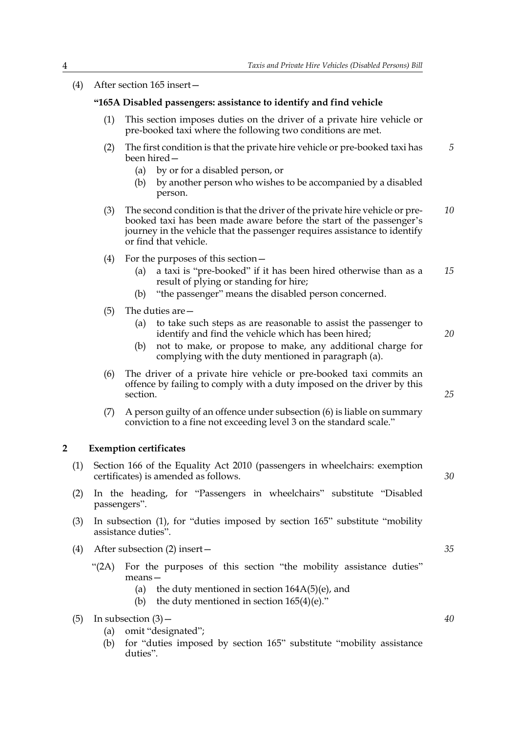(4) After section 165 insert—

#### **"165A Disabled passengers: assistance to identify and find vehicle**

- (1) This section imposes duties on the driver of a private hire vehicle or pre-booked taxi where the following two conditions are met.
- (2) The first condition is that the private hire vehicle or pre-booked taxi has been hired— *5*
	- (a) by or for a disabled person, or
	- (b) by another person who wishes to be accompanied by a disabled person.
- (3) The second condition is that the driver of the private hire vehicle or prebooked taxi has been made aware before the start of the passenger's journey in the vehicle that the passenger requires assistance to identify or find that vehicle. *10*
- (4) For the purposes of this section—
	- (a) a taxi is "pre-booked" if it has been hired otherwise than as a result of plying or standing for hire; *15*
	- (b) "the passenger" means the disabled person concerned.
- (5) The duties are—
	- (a) to take such steps as are reasonable to assist the passenger to identify and find the vehicle which has been hired;
	- (b) not to make, or propose to make, any additional charge for complying with the duty mentioned in paragraph (a).
- (6) The driver of a private hire vehicle or pre-booked taxi commits an offence by failing to comply with a duty imposed on the driver by this section.
- (7) A person guilty of an offence under subsection (6) is liable on summary conviction to a fine not exceeding level 3 on the standard scale."

#### **2 Exemption certificates**

- (1) Section 166 of the Equality Act 2010 (passengers in wheelchairs: exemption certificates) is amended as follows.
- (2) In the heading, for "Passengers in wheelchairs" substitute "Disabled passengers".
- (3) In subsection (1), for "duties imposed by section 165" substitute "mobility assistance duties".
- (4) After subsection (2) insert—
	- "(2A) For the purposes of this section "the mobility assistance duties" means—
		- (a) the duty mentioned in section  $164A(5)(e)$ , and
		- (b) the duty mentioned in section  $165(4)(e)$ ."

- (a) omit "designated";
- (b) for "duties imposed by section 165" substitute "mobility assistance duties".

*35*

*40*

*20*

*25*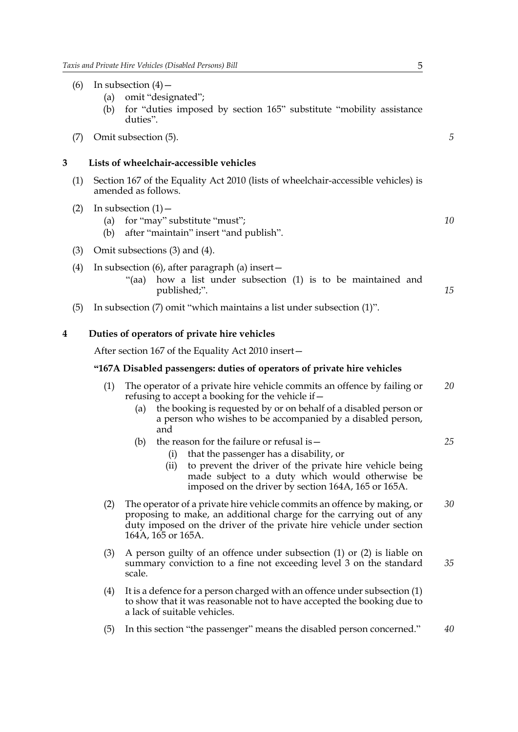- (6) In subsection  $(4)$ 
	- (a) omit "designated";
	- (b) for "duties imposed by section 165" substitute "mobility assistance duties".
- (7) Omit subsection (5).

#### **3 Lists of wheelchair-accessible vehicles**

- (1) Section 167 of the Equality Act 2010 (lists of wheelchair-accessible vehicles) is amended as follows.
- (2) In subsection  $(1)$ 
	- (a) for "may" substitute "must";
	- (b) after "maintain" insert "and publish".
- (3) Omit subsections (3) and (4).
- (4) In subsection (6), after paragraph (a) insert—
	- "(aa) how a list under subsection (1) is to be maintained and published;".
- (5) In subsection (7) omit "which maintains a list under subsection (1)".

#### **4 Duties of operators of private hire vehicles**

After section 167 of the Equality Act 2010 insert—

#### **"167A Disabled passengers: duties of operators of private hire vehicles**

- (1) The operator of a private hire vehicle commits an offence by failing or refusing to accept a booking for the vehicle if— *20*
	- (a) the booking is requested by or on behalf of a disabled person or a person who wishes to be accompanied by a disabled person, and
	- (b) the reason for the failure or refusal is  $-$ 
		- (i) that the passenger has a disability, or
		- (ii) to prevent the driver of the private hire vehicle being made subject to a duty which would otherwise be imposed on the driver by section 164A, 165 or 165A.
- (2) The operator of a private hire vehicle commits an offence by making, or proposing to make, an additional charge for the carrying out of any duty imposed on the driver of the private hire vehicle under section 164A, 165 or 165A. *30*
- (3) A person guilty of an offence under subsection (1) or (2) is liable on summary conviction to a fine not exceeding level 3 on the standard scale. *35*
- (4) It is a defence for a person charged with an offence under subsection (1) to show that it was reasonable not to have accepted the booking due to a lack of suitable vehicles.
- (5) In this section "the passenger" means the disabled person concerned." *40*

*5*

*10*

*15*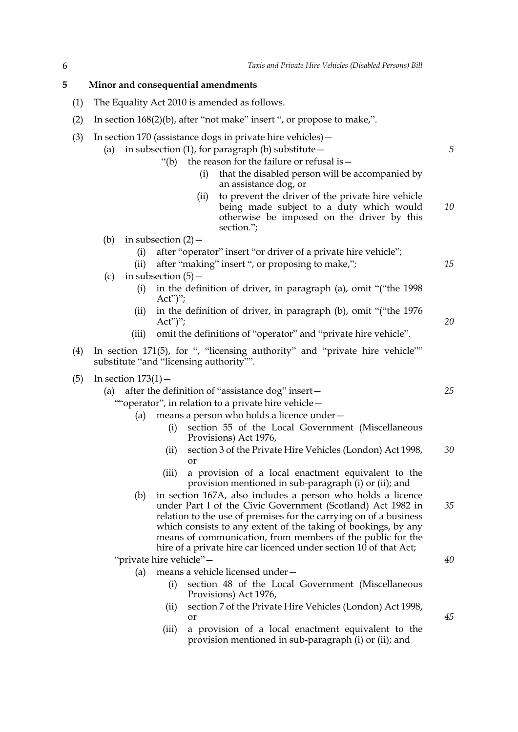#### **5 Minor and consequential amendments**

- (1) The Equality Act 2010 is amended as follows.
- (2) In section 168(2)(b), after "not make" insert ", or propose to make,".
- (3) In section 170 (assistance dogs in private hire vehicles)—
	- (a) in subsection (1), for paragraph (b) substitute  $-$ 
		- "(b) the reason for the failure or refusal is—
			- (i) that the disabled person will be accompanied by an assistance dog, or
			- (ii) to prevent the driver of the private hire vehicle being made subject to a duty which would otherwise be imposed on the driver by this section."; *10*
	- (b) in subsection  $(2)$ 
		- (i) after "operator" insert "or driver of a private hire vehicle";
		- (ii) after "making" insert ", or proposing to make,";
	- (c) in subsection  $(5)$ 
		- (i) in the definition of driver, in paragraph (a), omit "("the 1998 Act")";
		- (ii) in the definition of driver, in paragraph (b), omit "("the 1976  $Act")$ ";
		- (iii) omit the definitions of "operator" and "private hire vehicle".
- (4) In section 171(5), for ", "licensing authority" and "private hire vehicle"" substitute "and "licensing authority"".
- (5) In section  $173(1)$ 
	- (a) after the definition of "assistance dog" insert—
		- ""operator", in relation to a private hire vehicle—
			- (a) means a person who holds a licence under—
				- (i) section 55 of the Local Government (Miscellaneous Provisions) Act 1976,
				- (ii) section 3 of the Private Hire Vehicles (London) Act 1998, or *30*
				- (iii) a provision of a local enactment equivalent to the provision mentioned in sub-paragraph (i) or (ii); and
			- (b) in section 167A, also includes a person who holds a licence under Part I of the Civic Government (Scotland) Act 1982 in relation to the use of premises for the carrying on of a business which consists to any extent of the taking of bookings, by any means of communication, from members of the public for the hire of a private hire car licenced under section 10 of that Act; *35*

"private hire vehicle"—

- (a) means a vehicle licensed under—
	- (i) section 48 of the Local Government (Miscellaneous Provisions) Act 1976,
	- (ii) section 7 of the Private Hire Vehicles (London) Act 1998, or
	- (iii) a provision of a local enactment equivalent to the provision mentioned in sub-paragraph (i) or (ii); and

*40*

*45*

*5*

*15*

*20*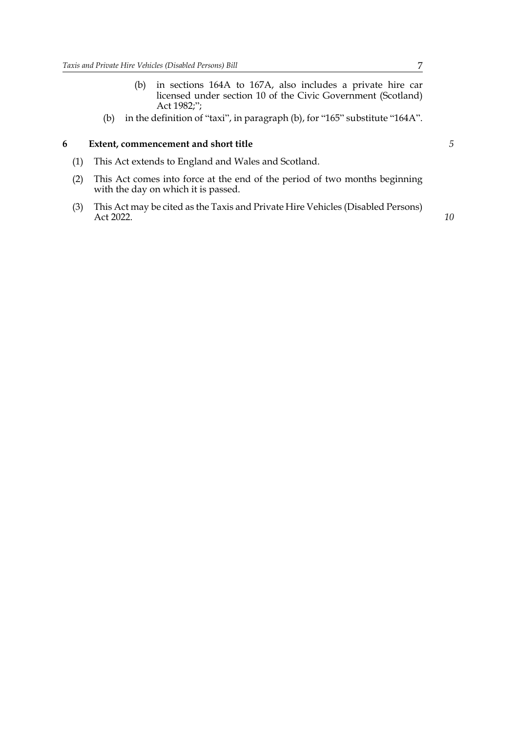- (b) in sections 164A to 167A, also includes a private hire car licensed under section 10 of the Civic Government (Scotland) Act 1982;";
- (b) in the definition of "taxi", in paragraph (b), for "165" substitute "164A".

#### **6 Extent, commencement and short title**

- (1) This Act extends to England and Wales and Scotland.
- (2) This Act comes into force at the end of the period of two months beginning with the day on which it is passed.
- (3) This Act may be cited as the Taxis and Private Hire Vehicles (Disabled Persons) Act 2022.